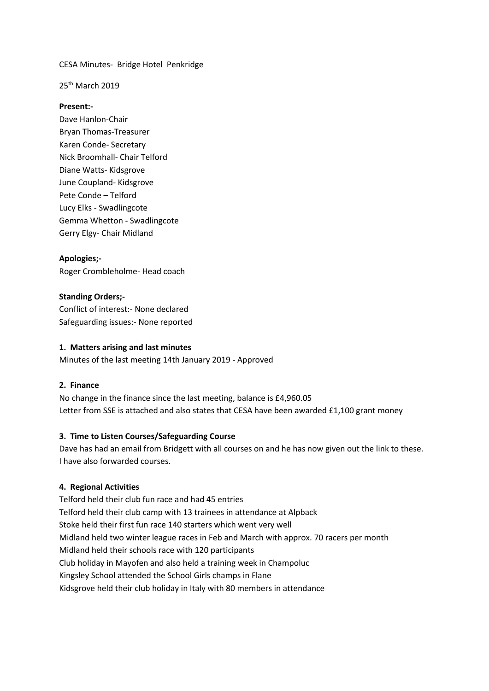CESA Minutes- Bridge Hotel Penkridge

25<sup>th</sup> March 2019

#### **Present:-**

Dave Hanlon-Chair Bryan Thomas-Treasurer Karen Conde- Secretary Nick Broomhall- Chair Telford Diane Watts- Kidsgrove June Coupland- Kidsgrove Pete Conde – Telford Lucy Elks - Swadlingcote Gemma Whetton - Swadlingcote Gerry Elgy- Chair Midland

#### **Apologies;-**

Roger Crombleholme- Head coach

**Standing Orders;-** Conflict of interest:- None declared Safeguarding issues:- None reported

#### **1. Matters arising and last minutes**

Minutes of the last meeting 14th January 2019 - Approved

#### **2. Finance**

No change in the finance since the last meeting, balance is £4,960.05 Letter from SSE is attached and also states that CESA have been awarded £1,100 grant money

## **3. Time to Listen Courses/Safeguarding Course**

Dave has had an email from Bridgett with all courses on and he has now given out the link to these. I have also forwarded courses.

## **4. Regional Activities**

Telford held their club fun race and had 45 entries Telford held their club camp with 13 trainees in attendance at Alpback Stoke held their first fun race 140 starters which went very well Midland held two winter league races in Feb and March with approx. 70 racers per month Midland held their schools race with 120 participants Club holiday in Mayofen and also held a training week in Champoluc Kingsley School attended the School Girls champs in Flane Kidsgrove held their club holiday in Italy with 80 members in attendance